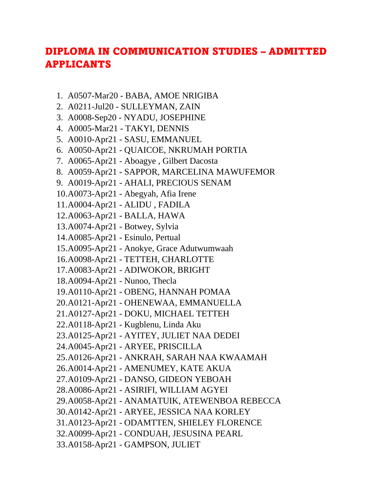## DIPLOMA IN COMMUNICATION STUDIES – ADMITTED APPLICANTS

- 1. A0507-Mar20 BABA, AMOE NRIGIBA
- 2. A0211-Jul20 SULLEYMAN, ZAIN
- 3. A0008-Sep20 NYADU, JOSEPHINE
- 4. A0005-Mar21 TAKYI, DENNIS
- 5. A0010-Apr21 SASU, EMMANUEL
- 6. A0050-Apr21 QUAICOE, NKRUMAH PORTIA
- 7. A0065-Apr21 Aboagye , Gilbert Dacosta
- 8. A0059-Apr21 SAPPOR, MARCELINA MAWUFEMOR
- 9. A0019-Apr21 AHALI, PRECIOUS SENAM
- 10.A0073-Apr21 Abegyah, Afia Irene
- 11.A0004-Apr21 ALIDU , FADILA
- 12.A0063-Apr21 BALLA, HAWA
- 13.A0074-Apr21 Botwey, Sylvia
- 14.A0085-Apr21 Esinulo, Pertual
- 15.A0095-Apr21 Anokye, Grace Adutwumwaah
- 16.A0098-Apr21 TETTEH, CHARLOTTE
- 17.A0083-Apr21 ADIWOKOR, BRIGHT
- 18.A0094-Apr21 Nunoo, Thecla
- 19.A0110-Apr21 OBENG, HANNAH POMAA
- 20.A0121-Apr21 OHENEWAA, EMMANUELLA
- 21.A0127-Apr21 DOKU, MICHAEL TETTEH
- 22.A0118-Apr21 Kugblenu, Linda Aku
- 23.A0125-Apr21 AYITEY, JULIET NAA DEDEI
- 24.A0045-Apr21 ARYEE, PRISCILLA
- 25.A0126-Apr21 ANKRAH, SARAH NAA KWAAMAH
- 26.A0014-Apr21 AMENUMEY, KATE AKUA
- 27.A0109-Apr21 DANSO, GIDEON YEBOAH
- 28.A0086-Apr21 ASIRIFI, WILLIAM AGYEI
- 29.A0058-Apr21 ANAMATUIK, ATEWENBOA REBECCA
- 30.A0142-Apr21 ARYEE, JESSICA NAA KORLEY
- 31.A0123-Apr21 ODAMTTEN, SHIELEY FLORENCE
- 32.A0099-Apr21 CONDUAH, JESUSINA PEARL
- 33.A0158-Apr21 GAMPSON, JULIET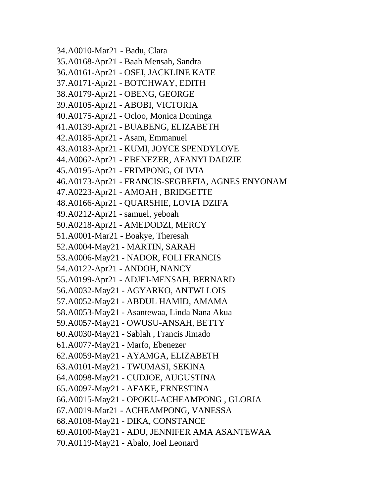34.A0010-Mar21 - Badu, Clara 35.A0168-Apr21 - Baah Mensah, Sandra 36.A0161-Apr21 - OSEI, JACKLINE KATE 37.A0171-Apr21 - BOTCHWAY, EDITH 38.A0179-Apr21 - OBENG, GEORGE 39.A0105-Apr21 - ABOBI, VICTORIA 40.A0175-Apr21 - Ocloo, Monica Dominga 41.A0139-Apr21 - BUABENG, ELIZABETH 42.A0185-Apr21 - Asam, Emmanuel 43.A0183-Apr21 - KUMI, JOYCE SPENDYLOVE 44.A0062-Apr21 - EBENEZER, AFANYI DADZIE 45.A0195-Apr21 - FRIMPONG, OLIVIA 46.A0173-Apr21 - FRANCIS-SEGBEFIA, AGNES ENYONAM 47.A0223-Apr21 - AMOAH , BRIDGETTE 48.A0166-Apr21 - QUARSHIE, LOVIA DZIFA 49.A0212-Apr21 - samuel, yeboah 50.A0218-Apr21 - AMEDODZI, MERCY 51.A0001-Mar21 - Boakye, Theresah 52.A0004-May21 - MARTIN, SARAH 53.A0006-May21 - NADOR, FOLI FRANCIS 54.A0122-Apr21 - ANDOH, NANCY 55.A0199-Apr21 - ADJEI-MENSAH, BERNARD 56.A0032-May21 - AGYARKO, ANTWI LOIS 57.A0052-May21 - ABDUL HAMID, AMAMA 58.A0053-May21 - Asantewaa, Linda Nana Akua 59.A0057-May21 - OWUSU-ANSAH, BETTY 60.A0030-May21 - Sablah , Francis Jimado 61.A0077-May21 - Marfo, Ebenezer 62.A0059-May21 - AYAMGA, ELIZABETH 63.A0101-May21 - TWUMASI, SEKINA 64.A0098-May21 - CUDJOE, AUGUSTINA 65.A0097-May21 - AFAKE, ERNESTINA 66.A0015-May21 - OPOKU-ACHEAMPONG , GLORIA 67.A0019-Mar21 - ACHEAMPONG, VANESSA 68.A0108-May21 - DIKA, CONSTANCE 69.A0100-May21 - ADU, JENNIFER AMA ASANTEWAA 70.A0119-May21 - Abalo, Joel Leonard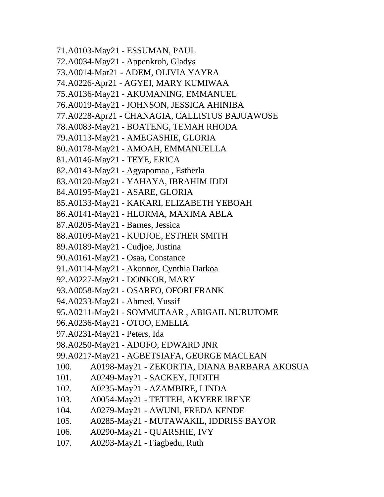71.A0103-May21 - ESSUMAN, PAUL 72.A0034-May21 - Appenkroh, Gladys 73.A0014-Mar21 - ADEM, OLIVIA YAYRA 74.A0226-Apr21 - AGYEI, MARY KUMIWAA 75.A0136-May21 - AKUMANING, EMMANUEL 76.A0019-May21 - JOHNSON, JESSICA AHINIBA 77.A0228-Apr21 - CHANAGIA, CALLISTUS BAJUAWOSE 78.A0083-May21 - BOATENG, TEMAH RHODA 79.A0113-May21 - AMEGASHIE, GLORIA 80.A0178-May21 - AMOAH, EMMANUELLA 81.A0146-May21 - TEYE, ERICA 82.A0143-May21 - Agyapomaa , Estherla 83.A0120-May21 - YAHAYA, IBRAHIM IDDI 84.A0195-May21 - ASARE, GLORIA 85.A0133-May21 - KAKARI, ELIZABETH YEBOAH 86.A0141-May21 - HLORMA, MAXIMA ABLA 87.A0205-May21 - Barnes, Jessica 88.A0109-May21 - KUDJOE, ESTHER SMITH 89.A0189-May21 - Cudjoe, Justina 90.A0161-May21 - Osaa, Constance 91.A0114-May21 - Akonnor, Cynthia Darkoa 92.A0227-May21 - DONKOR, MARY 93.A0058-May21 - OSARFO, OFORI FRANK 94.A0233-May21 - Ahmed, Yussif 95.A0211-May21 - SOMMUTAAR , ABIGAIL NURUTOME 96.A0236-May21 - OTOO, EMELIA 97.A0231-May21 - Peters, Ida 98.A0250-May21 - ADOFO, EDWARD JNR 99.A0217-May21 - AGBETSIAFA, GEORGE MACLEAN 100. A0198-May21 - ZEKORTIA, DIANA BARBARA AKOSUA 101. A0249-May21 - SACKEY, JUDITH 102. A0235-May21 - AZAMBIRE, LINDA 103. A0054-May21 - TETTEH, AKYERE IRENE 104. A0279-May21 - AWUNI, FREDA KENDE 105. A0285-May21 - MUTAWAKIL, IDDRISS BAYOR 106. A0290-May21 - QUARSHIE, IVY 107. A0293-May21 - Fiagbedu, Ruth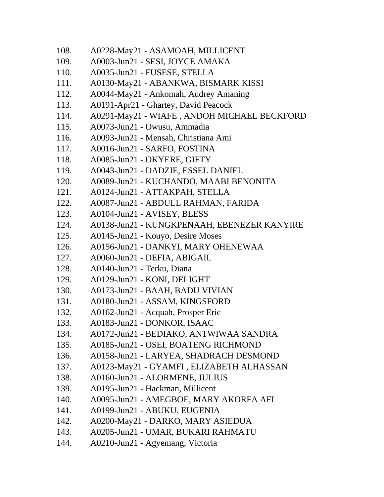- 108. A0228-May21 ASAMOAH, MILLICENT
- 109. A0003-Jun21 SESI, JOYCE AMAKA
- 110. A0035-Jun21 FUSESE, STELLA
- 111. A0130-May21 ABANKWA, BISMARK KISSI
- 112. A0044-May21 Ankomah, Audrey Amaning
- 113. A0191-Apr21 Ghartey, David Peacock
- 114. A0291-May21 WIAFE , ANDOH MICHAEL BECKFORD
- 115. A0073-Jun21 Owusu, Ammadia
- 116. A0093-Jun21 Mensah, Christiana Ami
- 117. A0016-Jun21 SARFO, FOSTINA
- 118. A0085-Jun21 OKYERE, GIFTY
- 119. A0043-Jun21 DADZIE, ESSEL DANIEL
- 120. A0089-Jun21 KUCHANDO, MAABI BENONITA
- 121. A0124-Jun21 ATTAKPAH, STELLA
- 122. A0087-Jun21 ABDULL RAHMAN, FARIDA
- 123. A0104-Jun21 AVISEY, BLESS
- 124. A0138-Jun21 KUNGKPENAAH, EBENEZER KANYIRE
- 125. A0145-Jun21 Kouyo, Desire Moses
- 126. A0156-Jun21 DANKYI, MARY OHENEWAA
- 127. A0060-Jun21 DEFIA, ABIGAIL
- 128. A0140-Jun21 Terku, Diana
- 129. A0129-Jun21 KONI, DELIGHT
- 130. A0173-Jun21 BAAH, BADU VIVIAN
- 131. A0180-Jun21 ASSAM, KINGSFORD
- 132. A0162-Jun21 Acquah, Prosper Eric
- 133. A0183-Jun21 DONKOR, ISAAC
- 134. A0172-Jun21 BEDIAKO, ANTWIWAA SANDRA
- 135. A0185-Jun21 OSEI, BOATENG RICHMOND
- 136. A0158-Jun21 LARYEA, SHADRACH DESMOND
- 137. A0123-May21 GYAMFI , ELIZABETH ALHASSAN
- 138. A0160-Jun21 ALORMENE, JULIUS
- 139. A0195-Jun21 Hackman, Millicent
- 140. A0095-Jun21 AMEGBOE, MARY AKORFA AFI
- 141. A0199-Jun21 ABUKU, EUGENIA
- 142. A0200-May21 DARKO, MARY ASIEDUA
- 143. A0205-Jun21 UMAR, BUKARI RAHMATU
- 144. A0210-Jun21 Agyemang, Victoria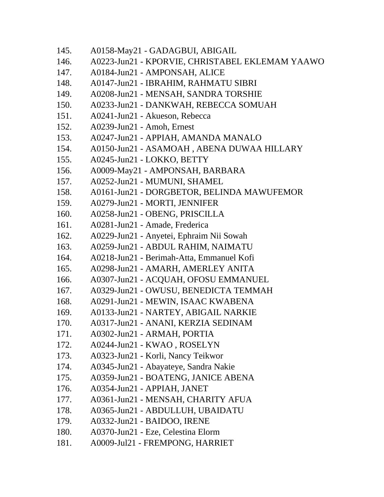145. A0158-May21 - GADAGBUI, ABIGAIL 146. A0223-Jun21 - KPORVIE, CHRISTABEL EKLEMAM YAAWO 147. A0184-Jun21 - AMPONSAH, ALICE 148. A0147-Jun21 - IBRAHIM, RAHMATU SIBRI 149. A0208-Jun21 - MENSAH, SANDRA TORSHIE 150. A0233-Jun21 - DANKWAH, REBECCA SOMUAH 151. A0241-Jun21 - Akueson, Rebecca 152. A0239-Jun21 - Amoh, Ernest 153. A0247-Jun21 - APPIAH, AMANDA MANALO 154. A0150-Jun21 - ASAMOAH , ABENA DUWAA HILLARY 155. A0245-Jun21 - LOKKO, BETTY 156. A0009-May21 - AMPONSAH, BARBARA 157. A0252-Jun21 - MUMUNI, SHAMEL 158. A0161-Jun21 - DORGBETOR, BELINDA MAWUFEMOR 159. A0279-Jun21 - MORTI, JENNIFER 160. A0258-Jun21 - OBENG, PRISCILLA 161. A0281-Jun21 - Amade, Frederica 162. A0229-Jun21 - Anyetei, Ephraim Nii Sowah 163. A0259-Jun21 - ABDUL RAHIM, NAIMATU 164. A0218-Jun21 - Berimah-Atta, Emmanuel Kofi 165. A0298-Jun21 - AMARH, AMERLEY ANITA 166. A0307-Jun21 - ACQUAH, OFOSU EMMANUEL 167. A0329-Jun21 - OWUSU, BENEDICTA TEMMAH 168. A0291-Jun21 - MEWIN, ISAAC KWABENA 169. A0133-Jun21 - NARTEY, ABIGAIL NARKIE 170. A0317-Jun21 - ANANI, KERZIA SEDINAM 171. A0302-Jun21 - ARMAH, PORTIA 172. A0244-Jun21 - KWAO , ROSELYN 173. A0323-Jun21 - Korli, Nancy Teikwor 174. A0345-Jun21 - Abayateye, Sandra Nakie 175. A0359-Jun21 - BOATENG, JANICE ABENA 176. A0354-Jun21 - APPIAH, JANET 177. A0361-Jun21 - MENSAH, CHARITY AFUA 178. A0365-Jun21 - ABDULLUH, UBAIDATU 179. A0332-Jun21 - BAIDOO, IRENE 180. A0370-Jun21 - Eze, Celestina Elorm 181. A0009-Jul21 - FREMPONG, HARRIET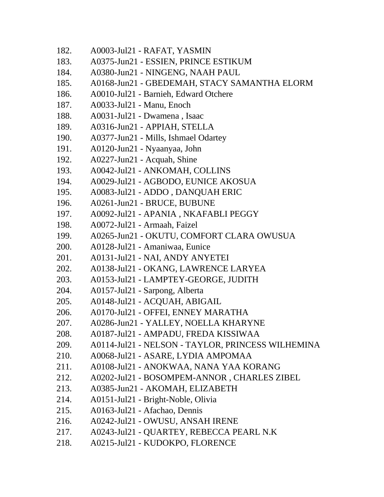- 182. A0003-Jul21 RAFAT, YASMIN
- 183. A0375-Jun21 ESSIEN, PRINCE ESTIKUM
- 184. A0380-Jun21 NINGENG, NAAH PAUL
- 185. A0168-Jun21 GBEDEMAH, STACY SAMANTHA ELORM
- 186. A0010-Jul21 Barnieh, Edward Otchere
- 187. A0033-Jul21 Manu, Enoch
- 188. A0031-Jul21 Dwamena , Isaac
- 189. A0316-Jun21 APPIAH, STELLA
- 190. A0377-Jun21 Mills, Ishmael Odartey
- 191. A0120-Jun21 Nyaanyaa, John
- 192. A0227-Jun21 Acquah, Shine
- 193. A0042-Jul21 ANKOMAH, COLLINS
- 194. A0029-Jul21 AGBODO, EUNICE AKOSUA
- 195. A0083-Jul21 ADDO , DANQUAH ERIC
- 196. A0261-Jun21 BRUCE, BUBUNE
- 197. A0092-Jul21 APANIA , NKAFABLI PEGGY
- 198. A0072-Jul21 Armaah, Faizel
- 199. A0265-Jun21 OKUTU, COMFORT CLARA OWUSUA
- 200. A0128-Jul21 Amaniwaa, Eunice
- 201. A0131-Jul21 NAI, ANDY ANYETEI
- 202. A0138-Jul21 OKANG, LAWRENCE LARYEA
- 203. A0153-Jul21 LAMPTEY-GEORGE, JUDITH
- 204. A0157-Jul21 Sarpong, Alberta
- 205. A0148-Jul21 ACQUAH, ABIGAIL
- 206. A0170-Jul21 OFFEI, ENNEY MARATHA
- 207. A0286-Jun21 YALLEY, NOELLA KHARYNE
- 208. A0187-Jul21 AMPADU, FREDA KISSIWAA
- 209. A0114-Jul21 NELSON TAYLOR, PRINCESS WILHEMINA
- 210. A0068-Jul21 ASARE, LYDIA AMPOMAA
- 211. A0108-Jul21 ANOKWAA, NANA YAA KORANG
- 212. A0202-Jul21 BOSOMPEM-ANNOR , CHARLES ZIBEL
- 213. A0385-Jun21 AKOMAH, ELIZABETH
- 214. A0151-Jul21 Bright-Noble, Olivia
- 215. A0163-Jul21 Afachao, Dennis
- 216. A0242-Jul21 OWUSU, ANSAH IRENE
- 217. A0243-Jul21 QUARTEY, REBECCA PEARL N.K
- 218. A0215-Jul21 KUDOKPO, FLORENCE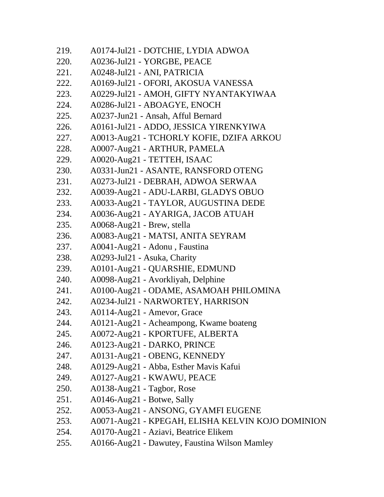| 219. | A0174-Jul21 - DOTCHIE, LYDIA ADWOA                |
|------|---------------------------------------------------|
| 220. | A0236-Jul21 - YORGBE, PEACE                       |
| 221. | A0248-Jul21 - ANI, PATRICIA                       |
| 222. | A0169-Jul21 - OFORI, AKOSUA VANESSA               |
| 223. | A0229-Jul21 - AMOH, GIFTY NYANTAKYIWAA            |
| 224. | A0286-Jul21 - ABOAGYE, ENOCH                      |
| 225. | A0237-Jun21 - Ansah, Afful Bernard                |
| 226. | A0161-Jul21 - ADDO, JESSICA YIRENKYIWA            |
| 227. | A0013-Aug21 - TCHORLY KOFIE, DZIFA ARKOU          |
| 228. | A0007-Aug21 - ARTHUR, PAMELA                      |
| 229. | A0020-Aug21 - TETTEH, ISAAC                       |
| 230. | A0331-Jun21 - ASANTE, RANSFORD OTENG              |
| 231. | A0273-Jul21 - DEBRAH, ADWOA SERWAA                |
| 232. | A0039-Aug21 - ADU-LARBI, GLADYS OBUO              |
| 233. | A0033-Aug21 - TAYLOR, AUGUSTINA DEDE              |
| 234. | A0036-Aug21 - AYARIGA, JACOB ATUAH                |
| 235. | A0068-Aug21 - Brew, stella                        |
| 236. | A0083-Aug21 - MATSI, ANITA SEYRAM                 |
| 237. | A0041-Aug21 - Adonu, Faustina                     |
| 238. | A0293-Jul21 - Asuka, Charity                      |
| 239. | A0101-Aug21 - QUARSHIE, EDMUND                    |
| 240. | A0098-Aug21 - Avorkliyah, Delphine                |
| 241. | A0100-Aug21 - ODAME, ASAMOAH PHILOMINA            |
| 242. | A0234-Jul21 - NARWORTEY, HARRISON                 |
| 243. | A0114-Aug21 - Amevor, Grace                       |
| 244. | A0121-Aug21 - Acheampong, Kwame boateng           |
| 245. | A0072-Aug21 - KPORTUFE, ALBERTA                   |
| 246. | A0123-Aug21 - DARKO, PRINCE                       |
| 247. | A0131-Aug21 - OBENG, KENNEDY                      |
| 248. | A0129-Aug21 - Abba, Esther Mavis Kafui            |
| 249. | A0127-Aug21 - KWAWU, PEACE                        |
| 250. | A0138-Aug21 - Tagbor, Rose                        |
| 251. | A0146-Aug21 - Botwe, Sally                        |
| 252. | A0053-Aug21 - ANSONG, GYAMFI EUGENE               |
| 253. | A0071-Aug21 - KPEGAH, ELISHA KELVIN KOJO DOMINION |
| 254. | A0170-Aug21 - Aziavi, Beatrice Elikem             |
| 255. | A0166-Aug21 - Dawutey, Faustina Wilson Mamley     |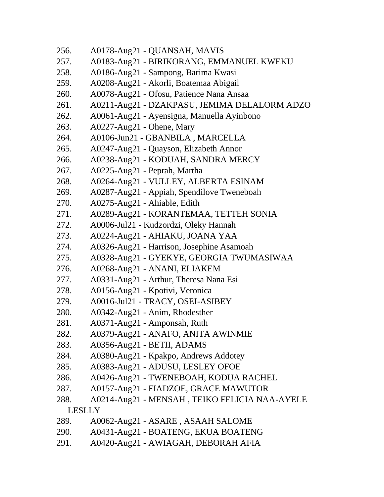| 256. | A0178-Aug21 - QUANSAH, MAVIS                  |
|------|-----------------------------------------------|
| 257. | A0183-Aug21 - BIRIKORANG, EMMANUEL KWEKU      |
| 258. | A0186-Aug21 - Sampong, Barima Kwasi           |
| 259. | A0208-Aug21 - Akorli, Boatemaa Abigail        |
| 260. | A0078-Aug21 - Ofosu, Patience Nana Ansaa      |
| 261. | A0211-Aug21 - DZAKPASU, JEMIMA DELALORM ADZO  |
| 262. | A0061-Aug21 - Ayensigna, Manuella Ayinbono    |
| 263. | A0227-Aug21 - Ohene, Mary                     |
| 264. | A0106-Jun21 - GBANBILA, MARCELLA              |
| 265. | A0247-Aug21 - Quayson, Elizabeth Annor        |
| 266. | A0238-Aug21 - KODUAH, SANDRA MERCY            |
| 267. | A0225-Aug21 - Peprah, Martha                  |
| 268. | A0264-Aug21 - VULLEY, ALBERTA ESINAM          |
| 269. | A0287-Aug21 - Appiah, Spendilove Tweneboah    |
| 270. | A0275-Aug21 - Ahiable, Edith                  |
| 271. | A0289-Aug21 - KORANTEMAA, TETTEH SONIA        |
| 272. | A0006-Jul21 - Kudzordzi, Oleky Hannah         |
| 273. | A0224-Aug21 - AHIAKU, JOANA YAA               |
| 274. | A0326-Aug21 - Harrison, Josephine Asamoah     |
| 275. | A0328-Aug21 - GYEKYE, GEORGIA TWUMASIWAA      |
| 276. | A0268-Aug21 - ANANI, ELIAKEM                  |
| 277. | A0331-Aug21 - Arthur, Theresa Nana Esi        |
| 278. | A0156-Aug21 - Kpotivi, Veronica               |
| 279. | A0016-Jul21 - TRACY, OSEI-ASIBEY              |
| 280. | A0342-Aug21 - Anim, Rhodesther                |
| 281. | A0371-Aug21 - Amponsah, Ruth                  |
| 282. | A0379-Aug21 - ANAFO, ANITA AWINMIE            |
| 283. | A0356-Aug21 - BETII, ADAMS                    |
| 284. | A0380-Aug21 - Kpakpo, Andrews Addotey         |
| 285. | A0383-Aug21 - ADUSU, LESLEY OFOE              |
| 286. | A0426-Aug21 - TWENEBOAH, KODUA RACHEL         |
| 287. | A0157-Aug21 - FIADZOE, GRACE MAWUTOR          |
| 288. | A0214-Aug21 - MENSAH, TEIKO FELICIA NAA-AYELE |
|      | <b>LESLLY</b>                                 |
| 289. | A0062-Aug21 - ASARE, ASAAH SALOME             |
| 290. | A0431-Aug21 - BOATENG, EKUA BOATENG           |
| 291. | A0420-Aug21 - AWIAGAH, DEBORAH AFIA           |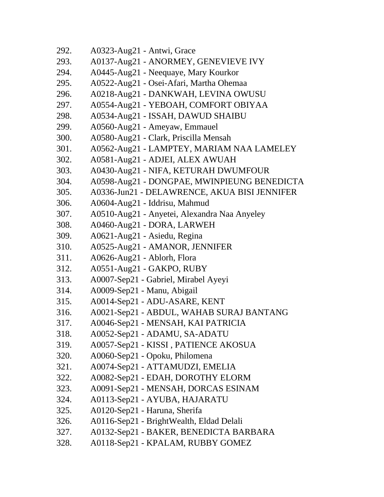| 292. | A0323-Aug21 - Antwi, Grace                   |
|------|----------------------------------------------|
| 293. | A0137-Aug21 - ANORMEY, GENEVIEVE IVY         |
| 294. | A0445-Aug21 - Neequaye, Mary Kourkor         |
| 295. | A0522-Aug21 - Osei-Afari, Martha Ohemaa      |
| 296. | A0218-Aug21 - DANKWAH, LEVINA OWUSU          |
| 297. | A0554-Aug21 - YEBOAH, COMFORT OBIYAA         |
| 298. | A0534-Aug21 - ISSAH, DAWUD SHAIBU            |
| 299. | A0560-Aug21 - Ameyaw, Emmauel                |
| 300. | A0580-Aug21 - Clark, Priscilla Mensah        |
| 301. | A0562-Aug21 - LAMPTEY, MARIAM NAA LAMELEY    |
| 302. | A0581-Aug21 - ADJEI, ALEX AWUAH              |
| 303. | A0430-Aug21 - NIFA, KETURAH DWUMFOUR         |
| 304. | A0598-Aug21 - DONGPAE, MWINPIEUNG BENEDICTA  |
| 305. | A0336-Jun21 - DELAWRENCE, AKUA BISI JENNIFER |
| 306. | A0604-Aug21 - Iddrisu, Mahmud                |
| 307. | A0510-Aug21 - Anyetei, Alexandra Naa Anyeley |
| 308. | A0460-Aug21 - DORA, LARWEH                   |
| 309. | A0621-Aug21 - Asiedu, Regina                 |
| 310. | A0525-Aug21 - AMANOR, JENNIFER               |
| 311. | A0626-Aug21 - Ablorh, Flora                  |
| 312. | A0551-Aug21 - GAKPO, RUBY                    |
| 313. | A0007-Sep21 - Gabriel, Mirabel Ayeyi         |
| 314. | A0009-Sep21 - Manu, Abigail                  |
| 315. | A0014-Sep21 - ADU-ASARE, KENT                |
| 316. | A0021-Sep21 - ABDUL, WAHAB SURAJ BANTANG     |
| 317. | A0046-Sep21 - MENSAH, KAI PATRICIA           |
| 318. | A0052-Sep21 - ADAMU, SA-ADATU                |
| 319. | A0057-Sep21 - KISSI, PATIENCE AKOSUA         |
| 320. | A0060-Sep21 - Opoku, Philomena               |
| 321. | A0074-Sep21 - ATTAMUDZI, EMELIA              |
| 322. | A0082-Sep21 - EDAH, DOROTHY ELORM            |
| 323. | A0091-Sep21 - MENSAH, DORCAS ESINAM          |
| 324. | A0113-Sep21 - AYUBA, HAJARATU                |
| 325. | A0120-Sep21 - Haruna, Sherifa                |
| 326. | A0116-Sep21 - BrightWealth, Eldad Delali     |
| 327. | A0132-Sep21 - BAKER, BENEDICTA BARBARA       |
| 328. | A0118-Sep21 - KPALAM, RUBBY GOMEZ            |
|      |                                              |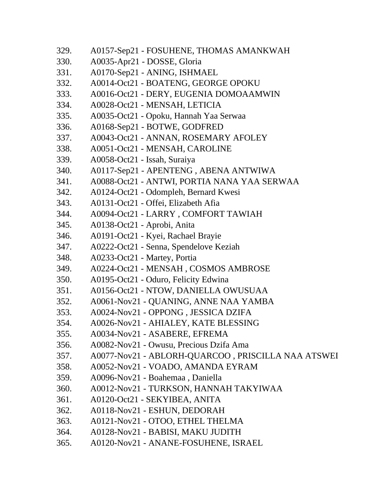| 329. | A0157-Sep21 - FOSUHENE, THOMAS AMANKWAH            |
|------|----------------------------------------------------|
| 330. | A0035-Apr21 - DOSSE, Gloria                        |
| 331. | A0170-Sep21 - ANING, ISHMAEL                       |
| 332. | A0014-Oct21 - BOATENG, GEORGE OPOKU                |
| 333. | A0016-Oct21 - DERY, EUGENIA DOMOAAMWIN             |
| 334. | A0028-Oct21 - MENSAH, LETICIA                      |
| 335. | A0035-Oct21 - Opoku, Hannah Yaa Serwaa             |
| 336. | A0168-Sep21 - BOTWE, GODFRED                       |
| 337. | A0043-Oct21 - ANNAN, ROSEMARY AFOLEY               |
| 338. | A0051-Oct21 - MENSAH, CAROLINE                     |
| 339. | A0058-Oct21 - Issah, Suraiya                       |
| 340. | A0117-Sep21 - APENTENG, ABENA ANTWIWA              |
| 341. | A0088-Oct21 - ANTWI, PORTIA NANA YAA SERWAA        |
| 342. | A0124-Oct21 - Odompleh, Bernard Kwesi              |
| 343. | A0131-Oct21 - Offei, Elizabeth Afia                |
| 344. | A0094-Oct21 - LARRY, COMFORT TAWIAH                |
| 345. | A0138-Oct21 - Aprobi, Anita                        |
| 346. | A0191-Oct21 - Kyei, Rachael Brayie                 |
| 347. | A0222-Oct21 - Senna, Spendelove Keziah             |
| 348. | A0233-Oct21 - Martey, Portia                       |
| 349. | A0224-Oct21 - MENSAH, COSMOS AMBROSE               |
| 350. | A0195-Oct21 - Oduro, Felicity Edwina               |
| 351. | A0156-Oct21 - NTOW, DANIELLA OWUSUAA               |
| 352. | A0061-Nov21 - QUANING, ANNE NAA YAMBA              |
| 353. | A0024-Nov21 - OPPONG, JESSICA DZIFA                |
| 354. | A0026-Nov21 - AHIALEY, KATE BLESSING               |
| 355. | A0034-Nov21 - ASABERE, EFREMA                      |
| 356. | A0082-Nov21 - Owusu, Precious Dzifa Ama            |
| 357. | A0077-Nov21 - ABLORH-QUARCOO, PRISCILLA NAA ATSWEI |
| 358. | A0052-Nov21 - VOADO, AMANDA EYRAM                  |
| 359. | A0096-Nov21 - Boahemaa, Daniella                   |
| 360. | A0012-Nov21 - TURKSON, HANNAH TAKYIWAA             |
| 361. | A0120-Oct21 - SEKYIBEA, ANITA                      |
| 362. | A0118-Nov21 - ESHUN, DEDORAH                       |
| 363. | A0121-Nov21 - OTOO, ETHEL THELMA                   |
| 364. | A0128-Nov21 - BABISI, MAKU JUDITH                  |
| 365. | A0120-Nov21 - ANANE-FOSUHENE, ISRAEL               |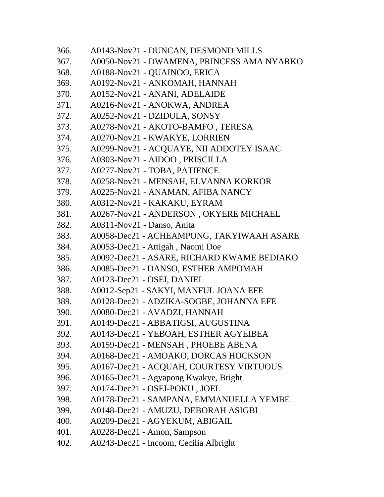| 366. | A0143-Nov21 - DUNCAN, DESMOND MILLS        |
|------|--------------------------------------------|
| 367. | A0050-Nov21 - DWAMENA, PRINCESS AMA NYARKO |
| 368. | A0188-Nov21 - QUAINOO, ERICA               |
| 369. | A0192-Nov21 - ANKOMAH, HANNAH              |
| 370. | A0152-Nov21 - ANANI, ADELAIDE              |
| 371. | A0216-Nov21 - ANOKWA, ANDREA               |
| 372. | A0252-Nov21 - DZIDULA, SONSY               |
| 373. | A0278-Nov21 - AKOTO-BAMFO, TERESA          |
| 374. | A0270-Nov21 - KWAKYE, LORRIEN              |
| 375. | A0299-Nov21 - ACQUAYE, NII ADDOTEY ISAAC   |
| 376. | A0303-Nov21 - AIDOO, PRISCILLA             |
| 377. | A0277-Nov21 - TOBA, PATIENCE               |
| 378. | A0258-Nov21 - MENSAH, ELVANNA KORKOR       |
| 379. | A0225-Nov21 - ANAMAN, AFIBA NANCY          |
| 380. | A0312-Nov21 - KAKAKU, EYRAM                |
| 381. | A0267-Nov21 - ANDERSON, OKYERE MICHAEL     |
| 382. | A0311-Nov21 - Danso, Anita                 |
| 383. | A0058-Dec21 - ACHEAMPONG, TAKYIWAAH ASARE  |
| 384. | A0053-Dec21 - Attigah, Naomi Doe           |
| 385. | A0092-Dec21 - ASARE, RICHARD KWAME BEDIAKO |
| 386. | A0085-Dec21 - DANSO, ESTHER AMPOMAH        |
| 387. | A0123-Dec21 - OSEI, DANIEL                 |
| 388. | A0012-Sep21 - SAKYI, MANFUL JOANA EFE      |
| 389. | A0128-Dec21 - ADZIKA-SOGBE, JOHANNA EFE    |
| 390. | A0080-Dec21 - AVADZI, HANNAH               |
| 391. | A0149-Dec21 - ABBATIGSI, AUGUSTINA         |
| 392. | A0143-Dec21 - YEBOAH, ESTHER AGYEIBEA      |
| 393. | A0159-Dec21 - MENSAH, PHOEBE ABENA         |
| 394. | A0168-Dec21 - AMOAKO, DORCAS HOCKSON       |
| 395. | A0167-Dec21 - ACQUAH, COURTESY VIRTUOUS    |
| 396. | A0165-Dec21 - Agyapong Kwakye, Bright      |
| 397. | A0174-Dec21 - OSEI-POKU, JOEL              |
| 398. | A0178-Dec21 - SAMPANA, EMMANUELLA YEMBE    |
| 399. | A0148-Dec21 - AMUZU, DEBORAH ASIGBI        |
| 400. | A0209-Dec21 - AGYEKUM, ABIGAIL             |
| 401. | A0228-Dec21 - Amon, Sampson                |
| 402. | A0243-Dec21 - Incoom, Cecilia Albright     |